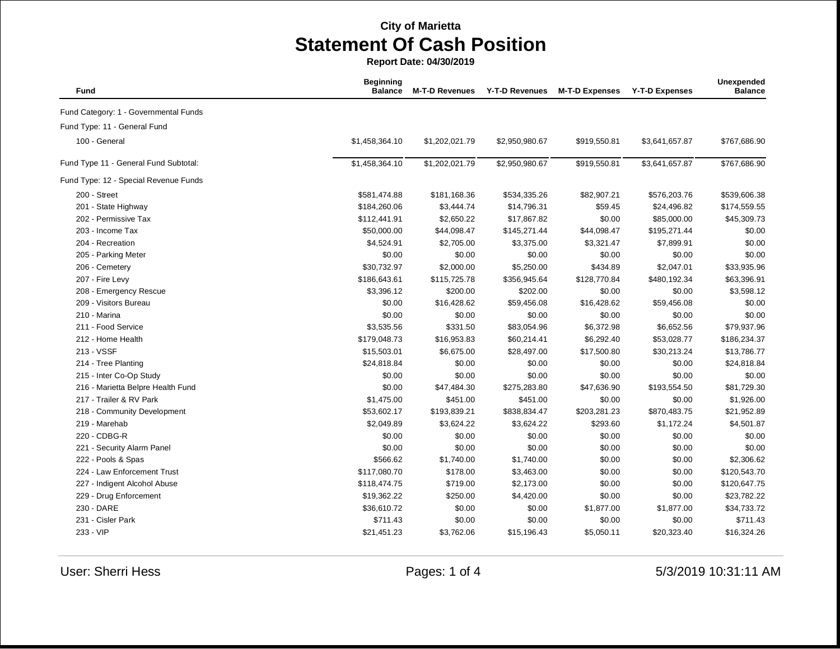**Report Date: 04/30/2019**

| Fund                                  | <b>Beginning</b><br><b>Balance</b> | <b>M-T-D Revenues</b> | <b>Y-T-D Revenues</b> | <b>M-T-D Expenses</b> | <b>Y-T-D Expenses</b> | Unexpended<br><b>Balance</b> |
|---------------------------------------|------------------------------------|-----------------------|-----------------------|-----------------------|-----------------------|------------------------------|
| Fund Category: 1 - Governmental Funds |                                    |                       |                       |                       |                       |                              |
| Fund Type: 11 - General Fund          |                                    |                       |                       |                       |                       |                              |
| 100 - General                         | \$1,458,364.10                     | \$1,202,021.79        | \$2,950,980.67        | \$919,550.81          | \$3,641,657.87        | \$767,686.90                 |
| Fund Type 11 - General Fund Subtotal: | \$1,458,364.10                     | \$1,202,021.79        | \$2,950,980.67        | \$919,550.81          | \$3,641,657.87        | \$767,686.90                 |
| Fund Type: 12 - Special Revenue Funds |                                    |                       |                       |                       |                       |                              |
| 200 - Street                          | \$581,474.88                       | \$181,168.36          | \$534,335.26          | \$82,907.21           | \$576,203.76          | \$539,606.38                 |
| 201 - State Highway                   | \$184,260.06                       | \$3,444.74            | \$14,796.31           | \$59.45               | \$24,496.82           | \$174,559.55                 |
| 202 - Permissive Tax                  | \$112,441.91                       | \$2,650.22            | \$17,867.82           | \$0.00                | \$85,000.00           | \$45,309.73                  |
| 203 - Income Tax                      | \$50,000.00                        | \$44,098.47           | \$145,271.44          | \$44,098.47           | \$195,271.44          | \$0.00                       |
| 204 - Recreation                      | \$4,524.91                         | \$2,705.00            | \$3,375.00            | \$3,321.47            | \$7,899.91            | \$0.00                       |
| 205 - Parking Meter                   | \$0.00                             | \$0.00                | \$0.00                | \$0.00                | \$0.00                | \$0.00                       |
| 206 - Cemetery                        | \$30,732.97                        | \$2,000.00            | \$5,250.00            | \$434.89              | \$2,047.01            | \$33,935.96                  |
| 207 - Fire Levy                       | \$186,643.61                       | \$115,725.78          | \$356,945.64          | \$128,770.84          | \$480,192.34          | \$63,396.91                  |
| 208 - Emergency Rescue                | \$3,396.12                         | \$200.00              | \$202.00              | \$0.00                | \$0.00                | \$3,598.12                   |
| 209 - Visitors Bureau                 | \$0.00                             | \$16,428.62           | \$59,456.08           | \$16,428.62           | \$59,456.08           | \$0.00                       |
| 210 - Marina                          | \$0.00                             | \$0.00                | \$0.00                | \$0.00                | \$0.00                | \$0.00                       |
| 211 - Food Service                    | \$3,535.56                         | \$331.50              | \$83,054.96           | \$6,372.98            | \$6,652.56            | \$79,937.96                  |
| 212 - Home Health                     | \$179,048.73                       | \$16,953.83           | \$60,214.41           | \$6,292.40            | \$53,028.77           | \$186,234.37                 |
| 213 - VSSF                            | \$15,503.01                        | \$6,675.00            | \$28,497.00           | \$17,500.80           | \$30,213.24           | \$13,786.77                  |
| 214 - Tree Planting                   | \$24,818.84                        | \$0.00                | \$0.00                | \$0.00                | \$0.00                | \$24,818.84                  |
| 215 - Inter Co-Op Study               | \$0.00                             | \$0.00                | \$0.00                | \$0.00                | \$0.00                | \$0.00                       |
| 216 - Marietta Belpre Health Fund     | \$0.00                             | \$47,484.30           | \$275,283.80          | \$47,636.90           | \$193,554.50          | \$81,729.30                  |
| 217 - Trailer & RV Park               | \$1,475.00                         | \$451.00              | \$451.00              | \$0.00                | \$0.00                | \$1,926.00                   |
| 218 - Community Development           | \$53,602.17                        | \$193,839.21          | \$838,834.47          | \$203,281.23          | \$870,483.75          | \$21,952.89                  |
| 219 - Marehab                         | \$2,049.89                         | \$3,624.22            | \$3,624.22            | \$293.60              | \$1,172.24            | \$4,501.87                   |
| 220 - CDBG-R                          | \$0.00                             | \$0.00                | \$0.00                | \$0.00                | \$0.00                | \$0.00                       |
| 221 - Security Alarm Panel            | \$0.00                             | \$0.00                | \$0.00                | \$0.00                | \$0.00                | \$0.00                       |
| 222 - Pools & Spas                    | \$566.62                           | \$1,740.00            | \$1,740.00            | \$0.00                | \$0.00                | \$2,306.62                   |
| 224 - Law Enforcement Trust           | \$117,080.70                       | \$178.00              | \$3,463.00            | \$0.00                | \$0.00                | \$120,543.70                 |
| 227 - Indigent Alcohol Abuse          | \$118,474.75                       | \$719.00              | \$2,173.00            | \$0.00                | \$0.00                | \$120,647.75                 |
| 229 - Drug Enforcement                | \$19,362.22                        | \$250.00              | \$4,420.00            | \$0.00                | \$0.00                | \$23,782.22                  |
| 230 - DARE                            | \$36,610.72                        | \$0.00                | \$0.00                | \$1,877.00            | \$1,877.00            | \$34,733.72                  |
| 231 - Cisler Park                     | \$711.43                           | \$0.00                | \$0.00                | \$0.00                | \$0.00                | \$711.43                     |
| 233 - VIP                             | \$21,451.23                        | \$3,762.06            | \$15,196.43           | \$5,050.11            | \$20,323.40           | \$16,324.26                  |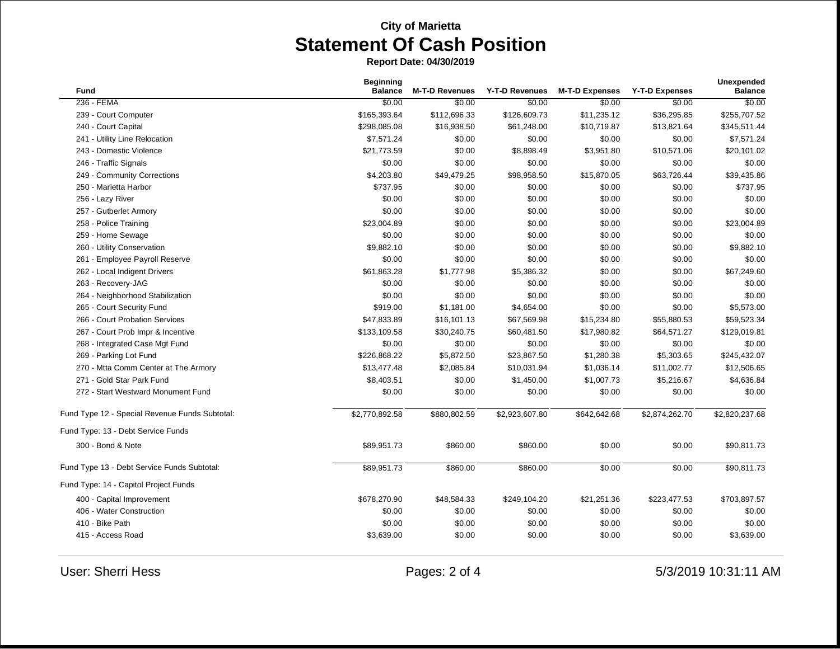**Report Date: 04/30/2019**

| <b>Fund</b>                                    | <b>Beginning</b><br><b>Balance</b> | <b>M-T-D Revenues</b> | <b>Y-T-D Revenues</b> | <b>M-T-D Expenses</b> | <b>Y-T-D Expenses</b> | <b>Unexpended</b><br><b>Balance</b> |
|------------------------------------------------|------------------------------------|-----------------------|-----------------------|-----------------------|-----------------------|-------------------------------------|
| 236 - FEMA                                     | \$0.00                             | \$0.00                | \$0.00                | \$0.00                | \$0.00                | \$0.00                              |
| 239 - Court Computer                           | \$165,393.64                       | \$112,696.33          | \$126,609.73          | \$11,235.12           | \$36,295.85           | \$255,707.52                        |
| 240 - Court Capital                            | \$298,085.08                       | \$16,938.50           | \$61,248.00           | \$10,719.87           | \$13,821.64           | \$345,511.44                        |
| 241 - Utility Line Relocation                  | \$7,571.24                         | \$0.00                | \$0.00                | \$0.00                | \$0.00                | \$7,571.24                          |
| 243 - Domestic Violence                        | \$21,773.59                        | \$0.00                | \$8,898.49            | \$3,951.80            | \$10,571.06           | \$20,101.02                         |
| 246 - Traffic Signals                          | \$0.00                             | \$0.00                | \$0.00                | \$0.00                | \$0.00                | \$0.00                              |
| 249 - Community Corrections                    | \$4,203.80                         | \$49,479.25           | \$98,958.50           | \$15,870.05           | \$63,726.44           | \$39,435.86                         |
| 250 - Marietta Harbor                          | \$737.95                           | \$0.00                | \$0.00                | \$0.00                | \$0.00                | \$737.95                            |
| 256 - Lazy River                               | \$0.00                             | \$0.00                | \$0.00                | \$0.00                | \$0.00                | \$0.00                              |
| 257 - Gutberlet Armory                         | \$0.00                             | \$0.00                | \$0.00                | \$0.00                | \$0.00                | \$0.00                              |
| 258 - Police Training                          | \$23,004.89                        | \$0.00                | \$0.00                | \$0.00                | \$0.00                | \$23,004.89                         |
| 259 - Home Sewage                              | \$0.00                             | \$0.00                | \$0.00                | \$0.00                | \$0.00                | \$0.00                              |
| 260 - Utility Conservation                     | \$9,882.10                         | \$0.00                | \$0.00                | \$0.00                | \$0.00                | \$9,882.10                          |
| 261 - Employee Payroll Reserve                 | \$0.00                             | \$0.00                | \$0.00                | \$0.00                | \$0.00                | \$0.00                              |
| 262 - Local Indigent Drivers                   | \$61.863.28                        | \$1,777.98            | \$5,386.32            | \$0.00                | \$0.00                | \$67,249.60                         |
| 263 - Recovery-JAG                             | \$0.00                             | \$0.00                | \$0.00                | \$0.00                | \$0.00                | \$0.00                              |
| 264 - Neighborhood Stabilization               | \$0.00                             | \$0.00                | \$0.00                | \$0.00                | \$0.00                | \$0.00                              |
| 265 - Court Security Fund                      | \$919.00                           | \$1,181.00            | \$4,654.00            | \$0.00                | \$0.00                | \$5,573.00                          |
| 266 - Court Probation Services                 | \$47,833.89                        | \$16,101.13           | \$67,569.98           | \$15,234.80           | \$55,880.53           | \$59,523.34                         |
| 267 - Court Prob Impr & Incentive              | \$133,109.58                       | \$30,240.75           | \$60,481.50           | \$17,980.82           | \$64,571.27           | \$129,019.81                        |
| 268 - Integrated Case Mgt Fund                 | \$0.00                             | \$0.00                | \$0.00                | \$0.00                | \$0.00                | \$0.00                              |
| 269 - Parking Lot Fund                         | \$226,868.22                       | \$5,872.50            | \$23,867.50           | \$1,280.38            | \$5,303.65            | \$245,432.07                        |
| 270 - Mtta Comm Center at The Armory           | \$13,477.48                        | \$2,085.84            | \$10,031.94           | \$1,036.14            | \$11,002.77           | \$12,506.65                         |
| 271 - Gold Star Park Fund                      | \$8,403.51                         | \$0.00                | \$1,450.00            | \$1,007.73            | \$5,216.67            | \$4,636.84                          |
| 272 - Start Westward Monument Fund             | \$0.00                             | \$0.00                | \$0.00                | \$0.00                | \$0.00                | \$0.00                              |
| Fund Type 12 - Special Revenue Funds Subtotal: | \$2,770,892.58                     | \$880,802.59          | \$2,923,607.80        | \$642,642.68          | \$2,874,262.70        | \$2,820,237.68                      |
| Fund Type: 13 - Debt Service Funds             |                                    |                       |                       |                       |                       |                                     |
| 300 - Bond & Note                              | \$89,951.73                        | \$860.00              | \$860.00              | \$0.00                | \$0.00                | \$90,811.73                         |
| Fund Type 13 - Debt Service Funds Subtotal:    | \$89,951.73                        | \$860.00              | \$860.00              | \$0.00                | \$0.00                | \$90,811.73                         |
| Fund Type: 14 - Capitol Project Funds          |                                    |                       |                       |                       |                       |                                     |
| 400 - Capital Improvement                      | \$678,270.90                       | \$48,584.33           | \$249,104.20          | \$21,251.36           | \$223,477.53          | \$703,897.57                        |
| 406 - Water Construction                       | \$0.00                             | \$0.00                | \$0.00                | \$0.00                | \$0.00                | \$0.00                              |
| 410 - Bike Path                                | \$0.00                             | \$0.00                | \$0.00                | \$0.00                | \$0.00                | \$0.00                              |
| 415 - Access Road                              | \$3,639.00                         | \$0.00                | \$0.00                | \$0.00                | \$0.00                | \$3,639.00                          |

User: Sherri Hess **Exercise 2 of 4** 5/3/2019 10:31:11 AM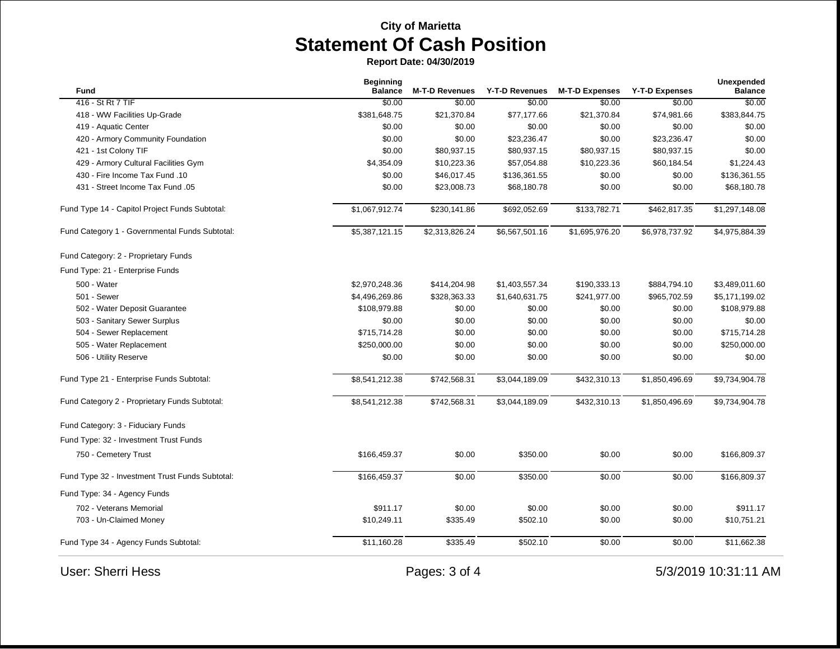**Report Date: 04/30/2019**

| Fund                                            | <b>Beginning</b><br><b>Balance</b> | <b>M-T-D Revenues</b> | Y-T-D Revenues | <b>M-T-D Expenses</b> | <b>Y-T-D Expenses</b> | <b>Unexpended</b><br><b>Balance</b> |
|-------------------------------------------------|------------------------------------|-----------------------|----------------|-----------------------|-----------------------|-------------------------------------|
| 416 - St Rt 7 TIF                               | \$0.00                             | \$0.00                | \$0.00         | \$0.00                | \$0.00                | \$0.00                              |
| 418 - WW Facilities Up-Grade                    | \$381,648.75                       | \$21,370.84           | \$77,177.66    | \$21,370.84           | \$74,981.66           | \$383,844.75                        |
| 419 - Aquatic Center                            | \$0.00                             | \$0.00                | \$0.00         | \$0.00                | \$0.00                | \$0.00                              |
| 420 - Armory Community Foundation               | \$0.00                             | \$0.00                | \$23,236.47    | \$0.00                | \$23,236.47           | \$0.00                              |
| 421 - 1st Colony TIF                            | \$0.00                             | \$80,937.15           | \$80,937.15    | \$80,937.15           | \$80,937.15           | \$0.00                              |
| 429 - Armory Cultural Facilities Gym            | \$4,354.09                         | \$10,223.36           | \$57,054.88    | \$10,223.36           | \$60,184.54           | \$1,224.43                          |
| 430 - Fire Income Tax Fund .10                  | \$0.00                             | \$46,017.45           | \$136,361.55   | \$0.00                | \$0.00                | \$136,361.55                        |
| 431 - Street Income Tax Fund .05                | \$0.00                             | \$23,008.73           | \$68,180.78    | \$0.00                | \$0.00                | \$68,180.78                         |
| Fund Type 14 - Capitol Project Funds Subtotal:  | \$1,067,912.74                     | \$230,141.86          | \$692,052.69   | \$133,782.71          | \$462,817.35          | \$1,297,148.08                      |
| Fund Category 1 - Governmental Funds Subtotal:  | \$5,387,121.15                     | \$2,313,826.24        | \$6,567,501.16 | \$1,695,976.20        | \$6,978,737.92        | \$4,975,884.39                      |
| Fund Category: 2 - Proprietary Funds            |                                    |                       |                |                       |                       |                                     |
| Fund Type: 21 - Enterprise Funds                |                                    |                       |                |                       |                       |                                     |
| 500 - Water                                     | \$2,970,248.36                     | \$414,204.98          | \$1,403,557.34 | \$190,333.13          | \$884,794.10          | \$3,489,011.60                      |
| 501 - Sewer                                     | \$4,496,269.86                     | \$328,363.33          | \$1,640,631.75 | \$241,977.00          | \$965,702.59          | \$5,171,199.02                      |
| 502 - Water Deposit Guarantee                   | \$108,979.88                       | \$0.00                | \$0.00         | \$0.00                | \$0.00                | \$108,979.88                        |
| 503 - Sanitary Sewer Surplus                    | \$0.00                             | \$0.00                | \$0.00         | \$0.00                | \$0.00                | \$0.00                              |
| 504 - Sewer Replacement                         | \$715,714.28                       | \$0.00                | \$0.00         | \$0.00                | \$0.00                | \$715,714.28                        |
| 505 - Water Replacement                         | \$250,000.00                       | \$0.00                | \$0.00         | \$0.00                | \$0.00                | \$250,000.00                        |
| 506 - Utility Reserve                           | \$0.00                             | \$0.00                | \$0.00         | \$0.00                | \$0.00                | \$0.00                              |
| Fund Type 21 - Enterprise Funds Subtotal:       | \$8,541,212.38                     | \$742,568.31          | \$3,044,189.09 | \$432,310.13          | \$1,850,496.69        | \$9,734,904.78                      |
| Fund Category 2 - Proprietary Funds Subtotal:   | \$8,541,212.38                     | \$742,568.31          | \$3,044,189.09 | \$432,310.13          | \$1,850,496.69        | \$9,734,904.78                      |
| Fund Category: 3 - Fiduciary Funds              |                                    |                       |                |                       |                       |                                     |
| Fund Type: 32 - Investment Trust Funds          |                                    |                       |                |                       |                       |                                     |
| 750 - Cemetery Trust                            | \$166,459.37                       | \$0.00                | \$350.00       | \$0.00                | \$0.00                | \$166,809.37                        |
| Fund Type 32 - Investment Trust Funds Subtotal: | \$166,459.37                       | \$0.00                | \$350.00       | \$0.00                | \$0.00                | \$166,809.37                        |
| Fund Type: 34 - Agency Funds                    |                                    |                       |                |                       |                       |                                     |
| 702 - Veterans Memorial                         | \$911.17                           | \$0.00                | \$0.00         | \$0.00                | \$0.00                | \$911.17                            |
| 703 - Un-Claimed Money                          | \$10,249.11                        | \$335.49              | \$502.10       | \$0.00                | \$0.00                | \$10,751.21                         |
| Fund Type 34 - Agency Funds Subtotal:           | \$11,160.28                        | \$335.49              | \$502.10       | \$0.00                | \$0.00                | \$11,662.38                         |
| <b>User: Sherri Hess</b>                        |                                    | Pages: 3 of 4         |                |                       |                       | 5/3/2019 10:31:11 AM                |